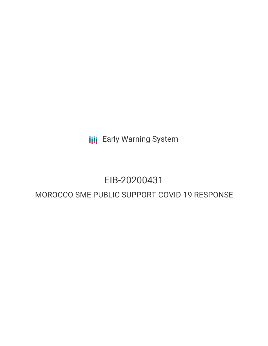**III** Early Warning System

# EIB-20200431

# MOROCCO SME PUBLIC SUPPORT COVID-19 RESPONSE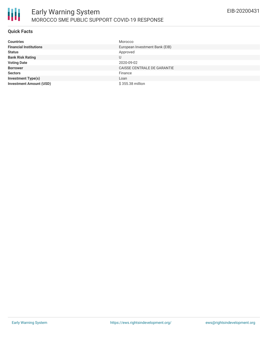

### **Quick Facts**

| <b>Countries</b>               | Morocco                        |
|--------------------------------|--------------------------------|
| <b>Financial Institutions</b>  | European Investment Bank (EIB) |
| <b>Status</b>                  | Approved                       |
| <b>Bank Risk Rating</b>        |                                |
| <b>Voting Date</b>             | 2020-09-02                     |
| <b>Borrower</b>                | CAISSE CENTRALE DE GARANTIE    |
| <b>Sectors</b>                 | Finance                        |
| <b>Investment Type(s)</b>      | Loan                           |
| <b>Investment Amount (USD)</b> | \$355.38 million               |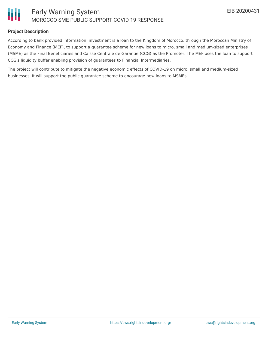

#### **Project Description**

According to bank provided information, investment is a loan to the Kingdom of Morocco, through the Moroccan Ministry of Economy and Finance (MEF), to support a guarantee scheme for new loans to micro, small and medium-sized enterprises (MSME) as the Final Beneficiaries and Caisse Centrale de Garantie (CCG) as the Promoter. The MEF uses the loan to support CCG's liquidity buffer enabling provision of guarantees to Financial Intermediaries.

The project will contribute to mitigate the negative economic effects of COVID-19 on micro, small and medium-sized businesses. It will support the public guarantee scheme to encourage new loans to MSMEs.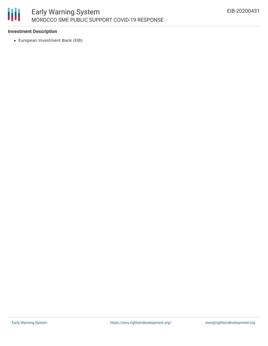

## **Investment Description**

European Investment Bank (EIB)